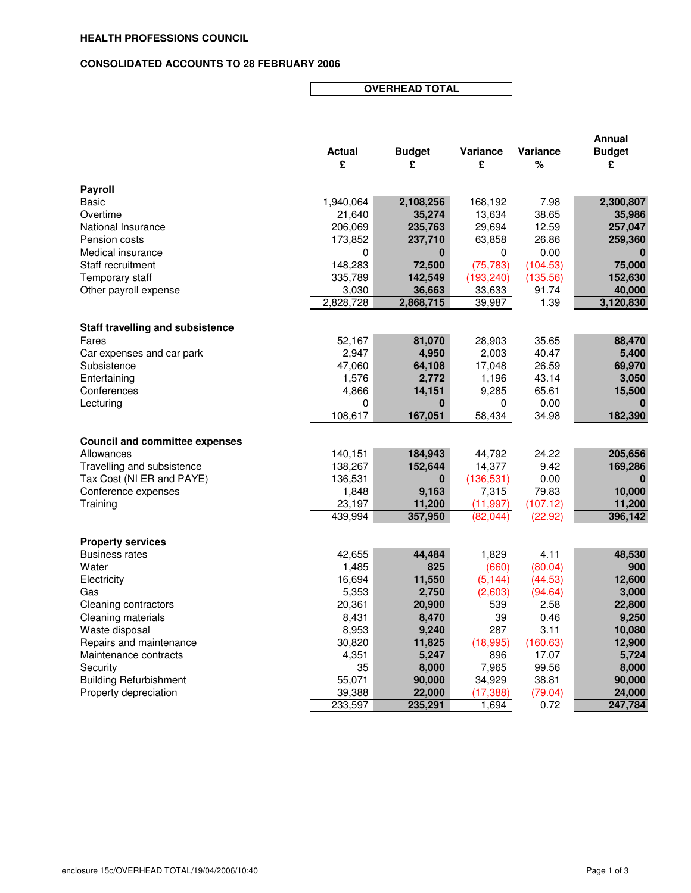## **CONSOLIDATED ACCOUNTS TO 28 FEBRUARY 2006**

**OVERHEAD TOTAL**

|                                         |                    |                     |                  |               | Annual              |
|-----------------------------------------|--------------------|---------------------|------------------|---------------|---------------------|
|                                         | <b>Actual</b>      | <b>Budget</b>       | <b>Variance</b>  | Variance      | <b>Budget</b>       |
|                                         | £                  | £                   | £                | %             | £                   |
| <b>Payroll</b>                          |                    |                     |                  |               |                     |
| Basic                                   | 1,940,064          | 2,108,256           | 168,192          | 7.98          | 2,300,807           |
| Overtime                                | 21,640             | 35,274              | 13,634           | 38.65         | 35,986              |
| National Insurance                      | 206,069            | 235,763             | 29,694           | 12.59         | 257,047             |
| Pension costs                           | 173,852            | 237,710             | 63,858           | 26.86         | 259,360             |
| Medical insurance                       | 0                  | $\bf{0}$            | 0                | 0.00          |                     |
| Staff recruitment                       | 148,283            | 72,500              | (75, 783)        | (104.53)      | 75,000              |
| Temporary staff                         | 335,789            | 142,549             | (193, 240)       | (135.56)      | 152,630             |
|                                         |                    |                     |                  |               |                     |
| Other payroll expense                   | 3,030<br>2,828,728 | 36,663<br>2,868,715 | 33,633<br>39,987 | 91.74<br>1.39 | 40,000<br>3,120,830 |
|                                         |                    |                     |                  |               |                     |
| <b>Staff travelling and subsistence</b> |                    |                     |                  |               |                     |
| Fares                                   | 52,167             | 81,070              | 28,903           | 35.65         | 88,470              |
| Car expenses and car park               | 2,947              | 4,950               | 2,003            | 40.47         | 5,400               |
| Subsistence                             | 47,060             | 64,108              | 17,048           | 26.59         | 69,970              |
| Entertaining                            | 1,576              | 2,772               | 1,196            | 43.14         | 3,050               |
| Conferences                             | 4,866              | 14,151              | 9,285            | 65.61         | 15,500              |
| Lecturing                               | 0                  | 0                   | 0                | 0.00          | $\bf{0}$            |
|                                         | 108,617            | 167,051             | 58,434           | 34.98         | 182,390             |
|                                         |                    |                     |                  |               |                     |
| <b>Council and committee expenses</b>   |                    |                     |                  |               |                     |
| Allowances                              | 140,151            | 184,943             | 44,792           | 24.22         | 205,656             |
| Travelling and subsistence              | 138,267            | 152,644             | 14,377           | 9.42          | 169,286             |
| Tax Cost (NI ER and PAYE)               | 136,531            | 0                   | (136, 531)       | 0.00          |                     |
| Conference expenses                     | 1,848              | 9,163               | 7,315            | 79.83         | 10,000              |
| Training                                | 23,197             | 11,200              | (11.997)         | (107.12)      | 11,200              |
|                                         | 439,994            | 357,950             | (82,044)         | (22.92)       | 396,142             |
|                                         |                    |                     |                  |               |                     |
| <b>Property services</b>                |                    |                     |                  |               |                     |
| <b>Business rates</b>                   | 42,655             | 44,484              | 1,829            | 4.11          | 48,530              |
| Water                                   | 1,485              | 825                 | (660)            | (80.04)       | 900                 |
| Electricity                             | 16,694             | 11,550              | (5, 144)         | (44.53)       | 12,600              |
| Gas                                     | 5,353              | 2,750               | (2,603)          | (94.64)       | 3,000               |
| <b>Cleaning contractors</b>             | 20,361             | 20,900              | 539              | 2.58          | 22,800              |
| Cleaning materials                      | 8,431              | 8,470               | 39               | 0.46          | 9,250               |
| Waste disposal                          | 8,953              | 9,240               | 287              | 3.11          | 10,080              |
| Repairs and maintenance                 | 30,820             | 11,825              | (18,995)         | (160.63)      | 12,900              |
| Maintenance contracts                   | 4,351              | 5,247               | 896              | 17.07         | 5,724               |
| Security                                | 35                 | 8,000               | 7,965            | 99.56         | 8,000               |
| <b>Building Refurbishment</b>           | 55,071             | 90,000              | 34,929           | 38.81         | 90,000              |
| Property depreciation                   | 39,388             | 22,000              | (17, 388)        | (79.04)       | 24,000              |
|                                         | 233,597            | 235,291             | 1,694            | 0.72          | 247,784             |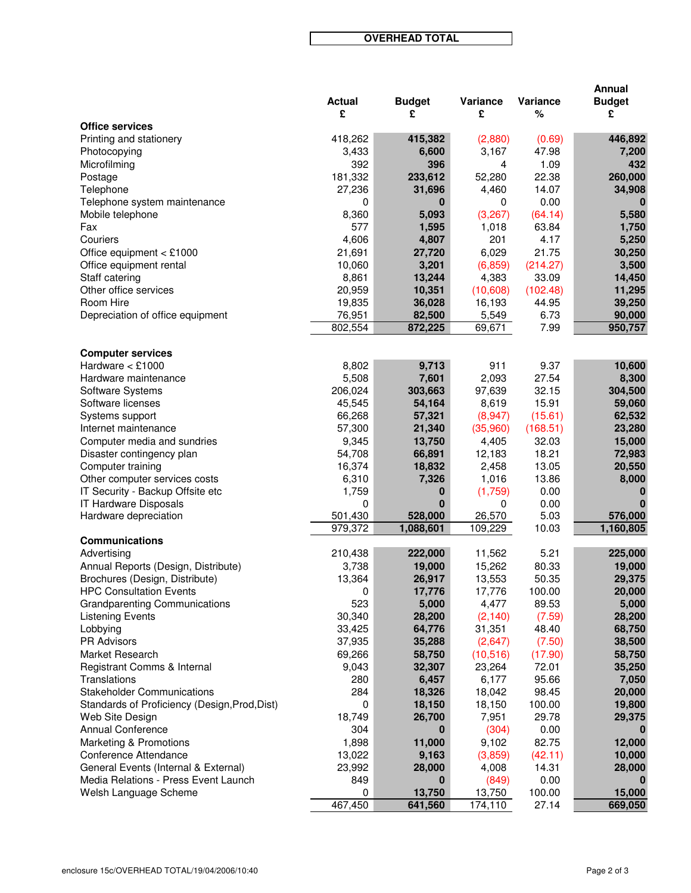**OVERHEAD TOTAL**

|                                                   | <b>Actual</b>   | <b>Budget</b>    | Variance        | Variance        | Annual<br><b>Budget</b> |
|---------------------------------------------------|-----------------|------------------|-----------------|-----------------|-------------------------|
|                                                   | £               | £                | £               | ℅               | £                       |
| <b>Office services</b>                            |                 |                  |                 |                 |                         |
| Printing and stationery                           | 418,262         | 415,382          | (2,880)         | (0.69)          | 446,892                 |
| Photocopying                                      | 3,433           | 6,600            | 3,167           | 47.98           | 7,200                   |
| Microfilming                                      | 392             | 396              | 4               | 1.09            | 432                     |
| Postage                                           | 181,332         | 233,612          | 52,280          | 22.38           | 260,000                 |
| Telephone                                         | 27,236          | 31,696           | 4,460           | 14.07           | 34,908                  |
| Telephone system maintenance<br>Mobile telephone  | 0<br>8,360      | 0<br>5,093       | 0<br>(3,267)    | 0.00<br>(64.14) | 5,580                   |
| Fax                                               | 577             | 1,595            | 1,018           | 63.84           | 1,750                   |
| Couriers                                          | 4,606           | 4,807            | 201             | 4.17            | 5,250                   |
| Office equipment $<$ £1000                        | 21,691          | 27,720           | 6,029           | 21.75           | 30,250                  |
| Office equipment rental                           | 10,060          | 3,201            | (6, 859)        | (214.27)        | 3,500                   |
| Staff catering                                    | 8,861           | 13,244           | 4,383           | 33.09           | 14,450                  |
| Other office services                             | 20,959          | 10,351           | (10,608)        | (102.48)        | 11,295                  |
| Room Hire                                         | 19,835          | 36,028           | 16,193          | 44.95           | 39,250                  |
| Depreciation of office equipment                  | 76,951          | 82,500           | 5,549           | 6.73            | 90,000                  |
|                                                   | 802,554         | 872,225          | 69,671          | 7.99            | 950,757                 |
|                                                   |                 |                  |                 |                 |                         |
| <b>Computer services</b>                          |                 |                  |                 |                 |                         |
| Hardware $<$ £1000                                | 8,802           | 9,713            | 911             | 9.37            | 10,600                  |
| Hardware maintenance                              | 5,508           | 7,601            | 2,093           | 27.54           | 8,300                   |
| Software Systems                                  | 206,024         | 303,663          | 97,639          | 32.15           | 304,500                 |
| Software licenses                                 | 45,545          | 54,164           | 8,619           | 15.91           | 59,060                  |
| Systems support                                   | 66,268          | 57,321           | (8,947)         | (15.61)         | 62,532                  |
| Internet maintenance                              | 57,300          | 21,340           | (35,960)        | (168.51)        | 23,280                  |
| Computer media and sundries                       | 9,345<br>54,708 | 13,750<br>66,891 | 4,405           | 32.03<br>18.21  | 15,000<br>72,983        |
| Disaster contingency plan<br>Computer training    | 16,374          | 18,832           | 12,183<br>2,458 | 13.05           | 20,550                  |
| Other computer services costs                     | 6,310           | 7,326            | 1,016           | 13.86           | 8,000                   |
| IT Security - Backup Offsite etc                  | 1,759           | 0                | (1,759)         | 0.00            | 0                       |
| IT Hardware Disposals                             | 0               | $\bf{0}$         | 0               | 0.00            |                         |
| Hardware depreciation                             | 501,430         | 528,000          | 26,570          | 5.03            | 576,000                 |
|                                                   | 979,372         | 1,088,601        | 109,229         | 10.03           | 1,160,805               |
| <b>Communications</b>                             |                 |                  |                 |                 |                         |
| Advertising                                       | 210,438         | 222,000          | 11,562          | 5.21            | 225,000                 |
| Annual Reports (Design, Distribute)               | 3,738           | 19,000           | 15,262          | 80.33           | 19,000                  |
| Brochures (Design, Distribute)                    | 13,364          | 26,917           | 13,553          | 50.35           | 29,375                  |
| <b>HPC Consultation Events</b>                    | 0               | 17,776           | 17,776          | 100.00          | 20,000                  |
| <b>Grandparenting Communications</b>              | 523             | 5,000            | 4,477           | 89.53           | 5,000                   |
| <b>Listening Events</b>                           | 30,340          | 28,200           | (2, 140)        | (7.59)          | 28,200                  |
| Lobbying                                          | 33,425          | 64,776           | 31,351          | 48.40           | 68,750                  |
| <b>PR Advisors</b>                                | 37,935          | 35,288           | (2,647)         | (7.50)          | 38,500                  |
| Market Research                                   | 69,266          | 58,750           | (10, 516)       | (17.90)         | 58,750                  |
| Registrant Comms & Internal                       | 9,043           | 32,307           | 23,264<br>6,177 | 72.01           | 35,250                  |
| Translations<br><b>Stakeholder Communications</b> | 280<br>284      | 6,457            | 18,042          | 95.66<br>98.45  | 7,050                   |
| Standards of Proficiency (Design, Prod, Dist)     | 0               | 18,326<br>18,150 | 18,150          | 100.00          | 20,000<br>19,800        |
| Web Site Design                                   | 18,749          | 26,700           | 7,951           | 29.78           | 29,375                  |
| <b>Annual Conference</b>                          | 304             | 0                | (304)           | 0.00            |                         |
| Marketing & Promotions                            | 1,898           | 11,000           | 9,102           | 82.75           | 12,000                  |
| Conference Attendance                             | 13,022          | 9,163            | (3,859)         | (42.11)         | 10,000                  |
| General Events (Internal & External)              | 23,992          | 28,000           | 4,008           | 14.31           | 28,000                  |
| Media Relations - Press Event Launch              | 849             | 0                | (849)           | 0.00            | 0                       |
| Welsh Language Scheme                             | 0               | 13,750           | 13,750          | 100.00          | 15,000                  |
|                                                   | 467,450         | 641,560          | 174,110         | 27.14           | 669,050                 |